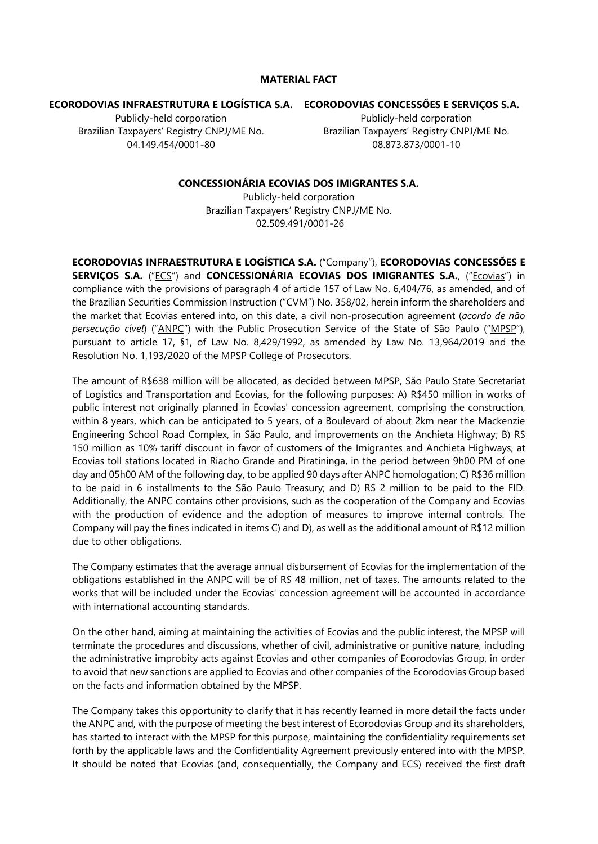## **MATERIAL FACT**

## **ECORODOVIAS INFRAESTRUTURA E LOGÍSTICA S.A. ECORODOVIAS CONCESSÕES E SERVIÇOS S.A.**

Publicly-held corporation Brazilian Taxpayers' Registry CNPJ/ME No. 04.149.454/0001-80

Publicly-held corporation Brazilian Taxpayers' Registry CNPJ/ME No. 08.873.873/0001-10

## **CONCESSIONÁRIA ECOVIAS DOS IMIGRANTES S.A.**

Publicly-held corporation Brazilian Taxpayers' Registry CNPJ/ME No. 02.509.491/0001-26

**ECORODOVIAS INFRAESTRUTURA E LOGÍSTICA S.A.** ("Company"), **ECORODOVIAS CONCESSÕES E SERVIÇOS S.A.** ("ECS") and **CONCESSIONÁRIA ECOVIAS DOS IMIGRANTES S.A.**, ("Ecovias") in compliance with the provisions of paragraph 4 of article 157 of Law No. 6,404/76, as amended, and of the Brazilian Securities Commission Instruction ("CVM") No. 358/02, herein inform the shareholders and the market that Ecovias entered into, on this date, a civil non-prosecution agreement (*acordo de não persecução cível*) ("ANPC") with the Public Prosecution Service of the State of São Paulo ("MPSP"), pursuant to article 17, §1, of Law No. 8,429/1992, as amended by Law No. 13,964/2019 and the Resolution No. 1,193/2020 of the MPSP College of Prosecutors.

The amount of R\$638 million will be allocated, as decided between MPSP, São Paulo State Secretariat of Logistics and Transportation and Ecovias, for the following purposes: A) R\$450 million in works of public interest not originally planned in Ecovias' concession agreement, comprising the construction, within 8 years, which can be anticipated to 5 years, of a Boulevard of about 2km near the Mackenzie Engineering School Road Complex, in São Paulo, and improvements on the Anchieta Highway; B) R\$ 150 million as 10% tariff discount in favor of customers of the Imigrantes and Anchieta Highways, at Ecovias toll stations located in Riacho Grande and Piratininga, in the period between 9h00 PM of one day and 05h00 AM of the following day, to be applied 90 days after ANPC homologation; C) R\$36 million to be paid in 6 installments to the São Paulo Treasury; and D) R\$ 2 million to be paid to the FID. Additionally, the ANPC contains other provisions, such as the cooperation of the Company and Ecovias with the production of evidence and the adoption of measures to improve internal controls. The Company will pay the fines indicated in items C) and D), as well as the additional amount of R\$12 million due to other obligations.

The Company estimates that the average annual disbursement of Ecovias for the implementation of the obligations established in the ANPC will be of R\$ 48 million, net of taxes. The amounts related to the works that will be included under the Ecovias' concession agreement will be accounted in accordance with international accounting standards.

On the other hand, aiming at maintaining the activities of Ecovias and the public interest, the MPSP will terminate the procedures and discussions, whether of civil, administrative or punitive nature, including the administrative improbity acts against Ecovias and other companies of Ecorodovias Group, in order to avoid that new sanctions are applied to Ecovias and other companies of the Ecorodovias Group based on the facts and information obtained by the MPSP.

The Company takes this opportunity to clarify that it has recently learned in more detail the facts under the ANPC and, with the purpose of meeting the best interest of Ecorodovias Group and its shareholders, has started to interact with the MPSP for this purpose, maintaining the confidentiality requirements set forth by the applicable laws and the Confidentiality Agreement previously entered into with the MPSP. It should be noted that Ecovias (and, consequentially, the Company and ECS) received the first draft